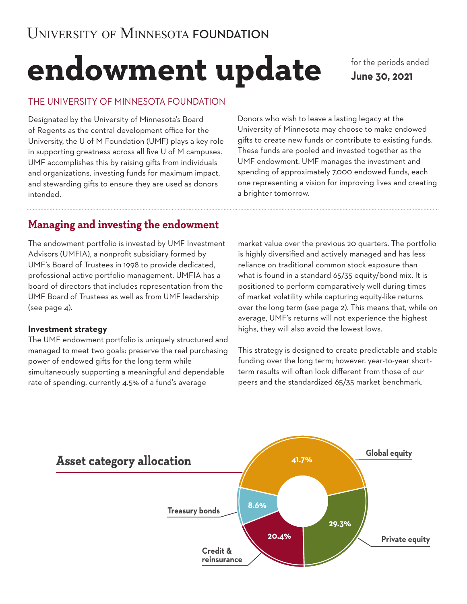# **endowment update**

for the periods ended **June 30, 2021**

## THE UNIVERSITY OF MINNESOTA FOUNDATION

Designated by the University of Minnesota's Board of Regents as the central development office for the University, the U of M Foundation (UMF) plays a key role in supporting greatness across all five U of M campuses. UMF accomplishes this by raising gifts from individuals and organizations, investing funds for maximum impact, and stewarding gifts to ensure they are used as donors intended.

Donors who wish to leave a lasting legacy at the University of Minnesota may choose to make endowed gifts to create new funds or contribute to existing funds. These funds are pooled and invested together as the UMF endowment. UMF manages the investment and spending of approximately 7,000 endowed funds, each one representing a vision for improving lives and creating a brighter tomorrow.

# **Managing and investing the endowment**

The endowment portfolio is invested by UMF Investment Advisors (UMFIA), a nonprofit subsidiary formed by UMF's Board of Trustees in 1998 to provide dedicated, professional active portfolio management. UMFIA has a board of directors that includes representation from the UMF Board of Trustees as well as from UMF leadership (see page 4).

## **Investment strategy**

The UMF endowment portfolio is uniquely structured and managed to meet two goals: preserve the real purchasing power of endowed gifts for the long term while simultaneously supporting a meaningful and dependable rate of spending, currently 4.5% of a fund's average

market value over the previous 20 quarters. The portfolio is highly diversified and actively managed and has less reliance on traditional common stock exposure than what is found in a standard 65/35 equity/bond mix. It is positioned to perform comparatively well during times of market volatility while capturing equity-like returns over the long term (see page 2). This means that, while on average, UMF's returns will not experience the highest highs, they will also avoid the lowest lows.

This strategy is designed to create predictable and stable funding over the long term; however, year-to-year shortterm results will often look different from those of our peers and the standardized 65/35 market benchmark.

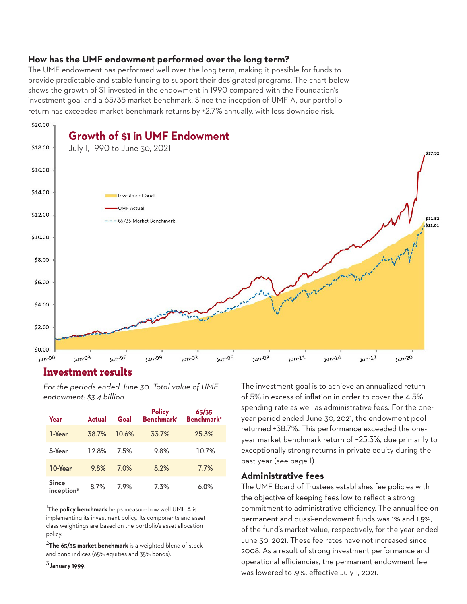## **How has the UMF endowment performed over the long term?**

The UMF endowment has performed well over the long term, making it possible for funds to provide predictable and stable funding to support their designated programs. The chart below shows the growth of \$1 invested in the endowment in 1990 compared with the Foundation's investment goal and a 65/35 market benchmark. Since the inception of UMFIA, our portfolio return has exceeded market benchmark returns by +2.7% annually, with less downside risk.



## **Investment results**

*For the periods ended June 30. Total value of UMF endowment: \$3.4 billion.*

| Year                                   | Actual | Goal  | <b>Policy</b><br>Benchmark <sup>1</sup> | 65/35<br>Benchmark <sup>2</sup> |
|----------------------------------------|--------|-------|-----------------------------------------|---------------------------------|
| 1-Year                                 | 38.7%  | 10.6% | 33.7%                                   | 25.3%                           |
| 5-Year                                 | 12.8%  | 7.5%  | 9.8%                                    | 10.7%                           |
| 10-Year                                | 9.8%   | 7.0%  | 8.2%                                    | 7.7%                            |
| <b>Since</b><br>inception <sup>3</sup> | 8.7%   | 7.9%  | 7.3%                                    | 6.0%                            |

<sup>1</sup>**The policy benchmark** helps measure how well UMFIA is implementing its investment policy. Its components and asset class weightings are based on the portfolio's asset allocation policy.

<sup>2</sup>The 65/35 market benchmark is a weighted blend of stock and bond indices (65% equities and 35% bonds).

<sup>3</sup>**January 1999**.

The investment goal is to achieve an annualized return of 5% in excess of inflation in order to cover the 4.5% spending rate as well as administrative fees. For the oneyear period ended June 30, 2021, the endowment pool returned +38.7%. This performance exceeded the oneyear market benchmark return of +25.3%, due primarily to exceptionally strong returns in private equity during the past year (see page 1).

#### **Administrative fees**

The UMF Board of Trustees establishes fee policies with the objective of keeping fees low to reflect a strong commitment to administrative efficiency. The annual fee on permanent and quasi-endowment funds was 1% and 1.5%, of the fund's market value, respectively, for the year ended June 30, 2021. These fee rates have not increased since 2008. As a result of strong investment performance and operational efficiencies, the permanent endowment fee was lowered to .9%, effective July 1, 2021.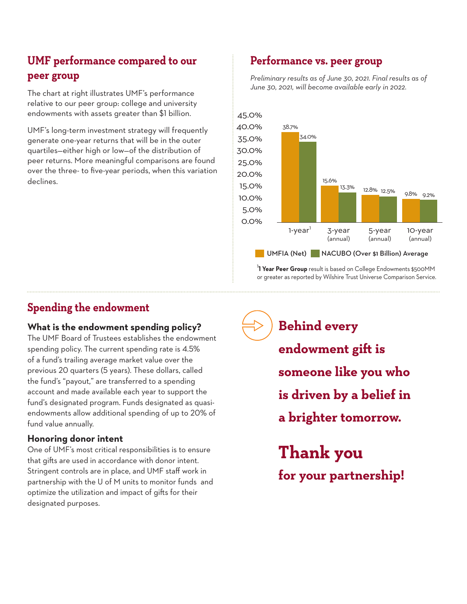# **UMF performance compared to our peer group**

The chart at right illustrates UMF's performance relative to our peer group: college and university endowments with assets greater than \$1 billion.

UMF's long-term investment strategy will frequently generate one-year returns that will be in the outer quartiles—either high or low—of the distribution of peer returns. More meaningful comparisons are found over the three- to five-year periods, when this variation declines.

## **Performance vs. peer group**

*Preliminary results as of June 30, 2021. Final results as of June 30, 2021, will become available early in 2022.* 



<sup>1</sup> **1 Year Peer Group** result is based on College Endowments \$500MM or greater as reported by Wilshire Trust Universe Comparison Service.

## **Spending the endowment**

## **What is the endowment spending policy?**

The UMF Board of Trustees establishes the endowment spending policy. The current spending rate is 4.5% of a fund's trailing average market value over the previous 20 quarters (5 years). These dollars, called the fund's "payout," are transferred to a spending account and made available each year to support the fund's designated program. Funds designated as quasiendowments allow additional spending of up to 20% of fund value annually.

## **Honoring donor intent**

One of UMF's most critical responsibilities is to ensure that gifts are used in accordance with donor intent. Stringent controls are in place, and UMF staff work in partnership with the U of M units to monitor funds and optimize the utilization and impact of gifts for their designated purposes.

**Behind every endowment gift is someone like you who is driven by a belief in a brighter tomorrow.**

**Thank you for your partnership!**